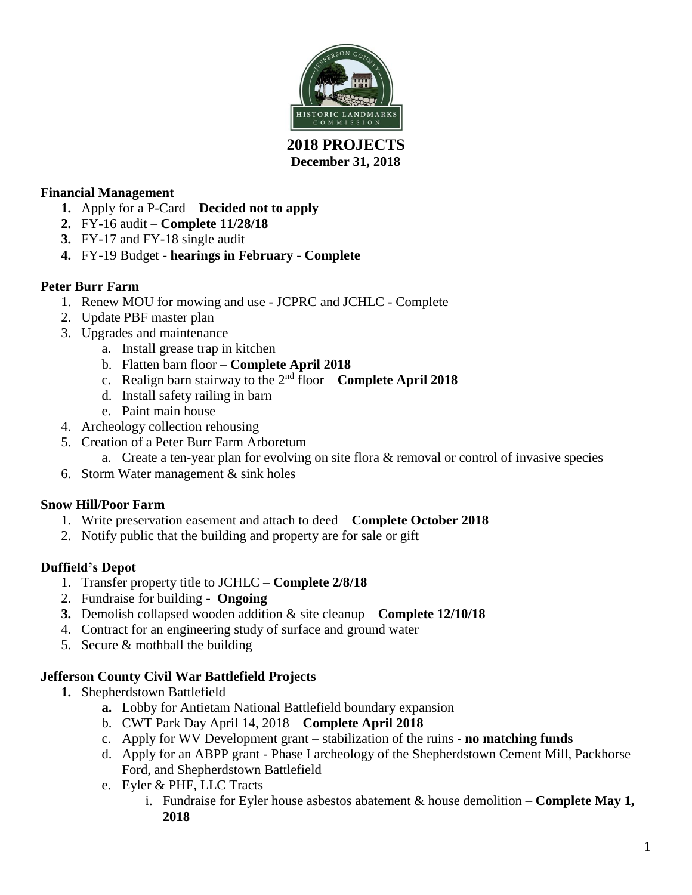

# **December 31, 2018**

## **Financial Management**

- **1.** Apply for a P-Card **Decided not to apply**
- **2.** FY-16 audit **Complete 11/28/18**
- **3.** FY-17 and FY-18 single audit
- **4.** FY-19 Budget **hearings in February Complete**

# **Peter Burr Farm**

- 1. Renew MOU for mowing and use JCPRC and JCHLC Complete
- 2. Update PBF master plan
- 3. Upgrades and maintenance
	- a. Install grease trap in kitchen
	- b. Flatten barn floor **Complete April 2018**
	- c. Realign barn stairway to the 2nd floor **Complete April 2018**
	- d. Install safety railing in barn
	- e. Paint main house
- 4. Archeology collection rehousing
- 5. Creation of a Peter Burr Farm Arboretum
	- a. Create a ten-year plan for evolving on site flora & removal or control of invasive species
- 6. Storm Water management & sink holes

## **Snow Hill/Poor Farm**

- 1. Write preservation easement and attach to deed **Complete October 2018**
- 2. Notify public that the building and property are for sale or gift

## **Duffield's Depot**

- 1. Transfer property title to JCHLC **Complete 2/8/18**
- 2. Fundraise for building **Ongoing**
- **3.** Demolish collapsed wooden addition & site cleanup **Complete 12/10/18**
- 4. Contract for an engineering study of surface and ground water
- 5. Secure & mothball the building

# **Jefferson County Civil War Battlefield Projects**

- **1.** Shepherdstown Battlefield
	- **a.** Lobby for Antietam National Battlefield boundary expansion
	- b. CWT Park Day April 14, 2018 **Complete April 2018**
	- c. Apply for WV Development grant stabilization of the ruins **no matching funds**
	- d. Apply for an ABPP grant Phase I archeology of the Shepherdstown Cement Mill, Packhorse Ford, and Shepherdstown Battlefield
	- e. Eyler & PHF, LLC Tracts
		- i. Fundraise for Eyler house asbestos abatement & house demolition **Complete May 1, 2018**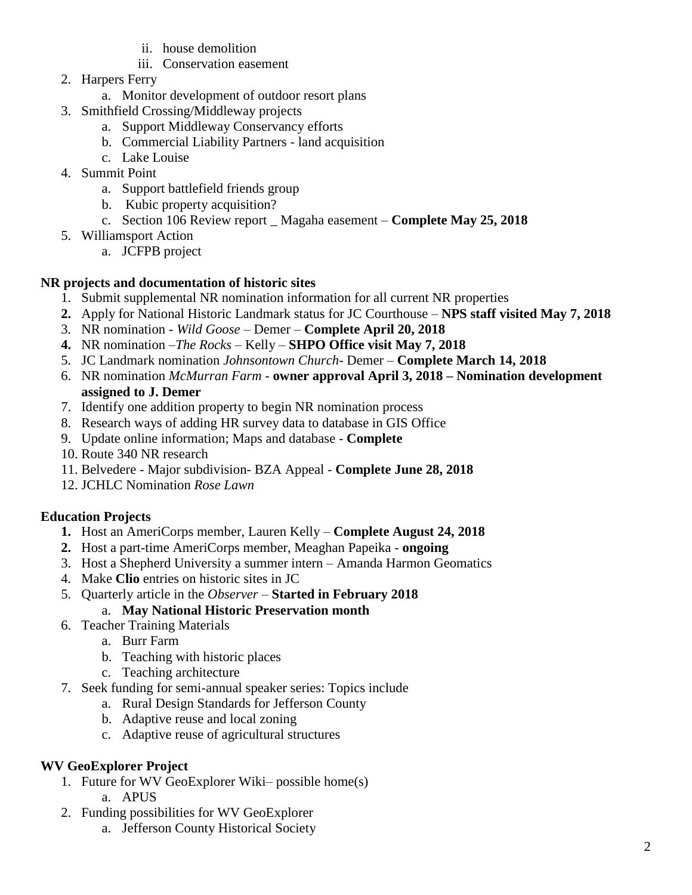- ii. house demolition
- iii. Conservation easement
- 2. Harpers Ferry
	- a. Monitor development of outdoor resort plans
- 3. Smithfield Crossing/Middleway projects
	- a. Support Middleway Conservancy efforts
	- b. Commercial Liability Partners land acquisition
	- c. Lake Louise
- 4. Summit Point
	- a. Support battlefield friends group
	- b. Kubic property acquisition?
	- c. Section 106 Review report \_ Magaha easement **Complete May 25, 2018**
- 5. Williamsport Action
	- a. JCFPB project

#### **NR projects and documentation of historic sites**

- 1. Submit supplemental NR nomination information for all current NR properties
- **2.** Apply for National Historic Landmark status for JC Courthouse **NPS staff visited May 7, 2018**
- 3. NR nomination *Wild Goose* Demer **Complete April 20, 2018**
- **4.** NR nomination –*The Rocks* Kelly **SHPO Office visit May 7, 2018**
- 5. JC Landmark nomination *Johnsontown Church-* Demer **Complete March 14, 2018**
- 6. NR nomination *McMurran Farm -* **owner approval April 3, 2018 – Nomination development assigned to J. Demer**
- 7. Identify one addition property to begin NR nomination process
- 8. Research ways of adding HR survey data to database in GIS Office
- 9. Update online information; Maps and database **Complete**
- 10. Route 340 NR research
- 11. Belvedere Major subdivision- BZA Appeal **Complete June 28, 2018**
- 12. JCHLC Nomination *Rose Lawn*

## **Education Projects**

- **1.** Host an AmeriCorps member, Lauren Kelly **Complete August 24, 2018**
- **2.** Host a part-time AmeriCorps member, Meaghan Papeika **ongoing**
- 3. Host a Shepherd University a summer intern Amanda Harmon Geomatics
- 4. Make **Clio** entries on historic sites in JC
- 5. Quarterly article in the *Observer –* **Started in February 2018**

## a. **May National Historic Preservation month**

- 6. Teacher Training Materials
	- a. Burr Farm
	- b. Teaching with historic places
	- c. Teaching architecture
- 7. Seek funding for semi-annual speaker series: Topics include
	- a. Rural Design Standards for Jefferson County
		- b. Adaptive reuse and local zoning
		- c. Adaptive reuse of agricultural structures

## **WV GeoExplorer Project**

- 1. Future for WV GeoExplorer Wiki– possible home(s) a. APUS
- 2. Funding possibilities for WV GeoExplorer
	- a. Jefferson County Historical Society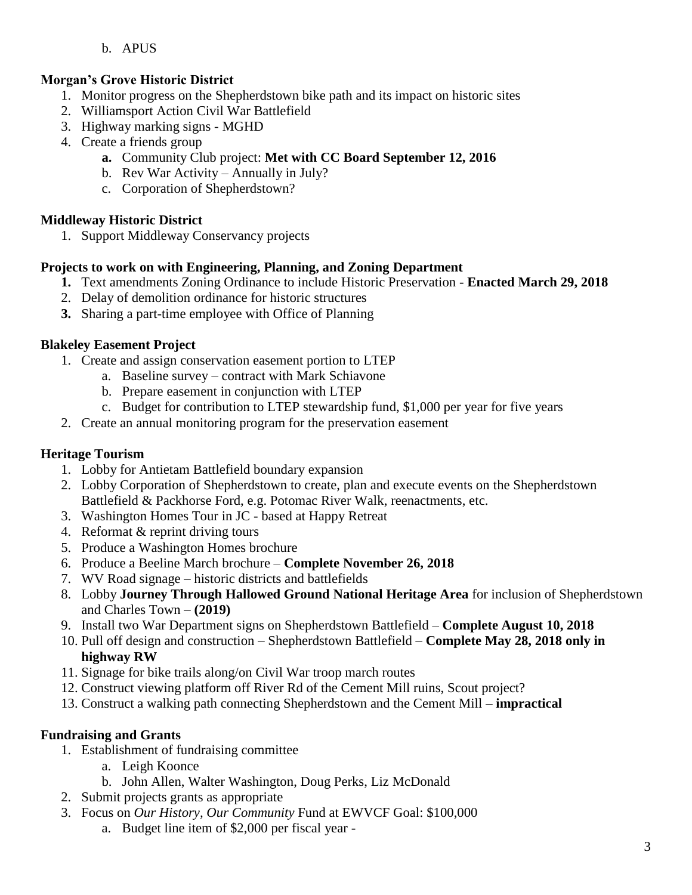#### b. APUS

## **Morgan's Grove Historic District**

- 1. Monitor progress on the Shepherdstown bike path and its impact on historic sites
- 2. Williamsport Action Civil War Battlefield
- 3. Highway marking signs MGHD
- 4. Create a friends group
	- **a.** Community Club project: **Met with CC Board September 12, 2016**
	- b. Rev War Activity Annually in July?
	- c. Corporation of Shepherdstown?

#### **Middleway Historic District**

1. Support Middleway Conservancy projects

#### **Projects to work on with Engineering, Planning, and Zoning Department**

- **1.** Text amendments Zoning Ordinance to include Historic Preservation **Enacted March 29, 2018**
- 2. Delay of demolition ordinance for historic structures
- **3.** Sharing a part-time employee with Office of Planning

#### **Blakeley Easement Project**

- 1. Create and assign conservation easement portion to LTEP
	- a. Baseline survey contract with Mark Schiavone
	- b. Prepare easement in conjunction with LTEP
	- c. Budget for contribution to LTEP stewardship fund, \$1,000 per year for five years
- 2. Create an annual monitoring program for the preservation easement

## **Heritage Tourism**

- 1. Lobby for Antietam Battlefield boundary expansion
- 2. Lobby Corporation of Shepherdstown to create, plan and execute events on the Shepherdstown Battlefield & Packhorse Ford, e.g. Potomac River Walk, reenactments, etc.
- 3. Washington Homes Tour in JC based at Happy Retreat
- 4. Reformat & reprint driving tours
- 5. Produce a Washington Homes brochure
- 6. Produce a Beeline March brochure **Complete November 26, 2018**
- 7. WV Road signage historic districts and battlefields
- 8. Lobby **Journey Through Hallowed Ground National Heritage Area** for inclusion of Shepherdstown and Charles Town – **(2019)**
- 9. Install two War Department signs on Shepherdstown Battlefield **Complete August 10, 2018**
- 10. Pull off design and construction Shepherdstown Battlefield **Complete May 28, 2018 only in highway RW**
- 11. Signage for bike trails along/on Civil War troop march routes
- 12. Construct viewing platform off River Rd of the Cement Mill ruins, Scout project?
- 13. Construct a walking path connecting Shepherdstown and the Cement Mill **impractical**

#### **Fundraising and Grants**

- 1. Establishment of fundraising committee
	- a. Leigh Koonce
	- b. John Allen, Walter Washington, Doug Perks, Liz McDonald
- 2. Submit projects grants as appropriate
- 3. Focus on *Our History, Our Community* Fund at EWVCF Goal: \$100,000
	- a. Budget line item of \$2,000 per fiscal year -